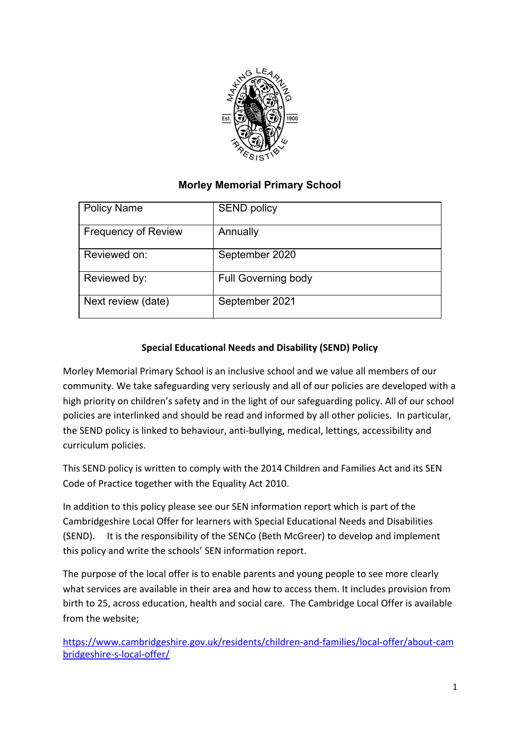

# **Morley Memorial Primary School**

| <b>Policy Name</b>         | <b>SEND policy</b>         |
|----------------------------|----------------------------|
| <b>Frequency of Review</b> | Annually                   |
| Reviewed on:               | September 2020             |
| Reviewed by:               | <b>Full Governing body</b> |
| Next review (date)         | September 2021             |

# **Special Educational Needs and Disability (SEND) Policy**

Morley Memorial Primary School is an inclusive school and we value all members of our community. We take safeguarding very seriously and all of our policies are developed with a high priority on children's safety and in the light of our safeguarding policy. All of our school policies are interlinked and should be read and informed by all other policies. In particular, the SEND policy is linked to behaviour, anti-bullying, medical, lettings, accessibility and curriculum policies.

This SEND policy is written to comply with the 2014 Children and Families Act and its SEN Code of Practice together with the Equality Act 2010.

In addition to this policy please see our SEN information report which is part of the Cambridgeshire Local Offer for learners with Special Educational Needs and Disabilities (SEND). It is the responsibility of the SENCo (Beth McGreer) to develop and implement this policy and write the schools' SEN information report.

The purpose of the local offer is to enable parents and young people to see more clearly what services are available in their area and how to access them. It includes provision from birth to 25, across education, health and social care. The Cambridge Local Offer is available from the website;

[https://www.cambridgeshire.gov.uk/residents/children-and-families/local-offer/about-cam](https://www.cambridgeshire.gov.uk/residents/children-and-families/local-offer/about-cambridgeshire-s-local-offer/) [bridgeshire-s-local-offer/](https://www.cambridgeshire.gov.uk/residents/children-and-families/local-offer/about-cambridgeshire-s-local-offer/)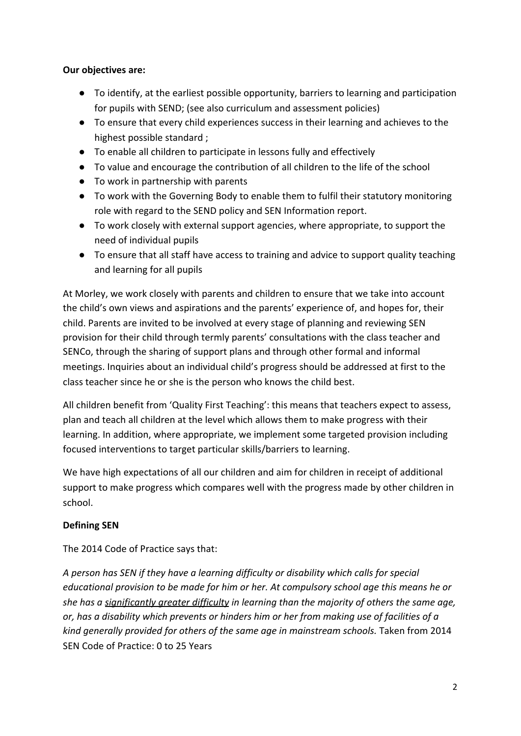#### **Our objectives are:**

- To identify, at the earliest possible opportunity, barriers to learning and participation for pupils with SEND; (see also curriculum and assessment policies)
- To ensure that every child experiences success in their learning and achieves to the highest possible standard ;
- To enable all children to participate in lessons fully and effectively
- To value and encourage the contribution of all children to the life of the school
- To work in partnership with parents
- To work with the Governing Body to enable them to fulfil their statutory monitoring role with regard to the SEND policy and SEN Information report.
- To work closely with external support agencies, where appropriate, to support the need of individual pupils
- To ensure that all staff have access to training and advice to support quality teaching and learning for all pupils

At Morley, we work closely with parents and children to ensure that we take into account the child's own views and aspirations and the parents' experience of, and hopes for, their child. Parents are invited to be involved at every stage of planning and reviewing SEN provision for their child through termly parents' consultations with the class teacher and SENCo, through the sharing of support plans and through other formal and informal meetings. Inquiries about an individual child's progress should be addressed at first to the class teacher since he or she is the person who knows the child best.

All children benefit from 'Quality First Teaching': this means that teachers expect to assess, plan and teach all children at the level which allows them to make progress with their learning. In addition, where appropriate, we implement some targeted provision including focused interventions to target particular skills/barriers to learning.

We have high expectations of all our children and aim for children in receipt of additional support to make progress which compares well with the progress made by other children in school.

#### **Defining SEN**

The 2014 Code of Practice says that:

*A person has SEN if they have a learning difficulty or disability which calls for special educational provision to be made for him or her. At compulsory school age this means he or she has a significantly greater difficulty in learning than the majority of others the same age, or, has a disability which prevents or hinders him or her from making use of facilities of a kind generally provided for others of the same age in mainstream schools.* Taken from 2014 SEN Code of Practice: 0 to 25 Years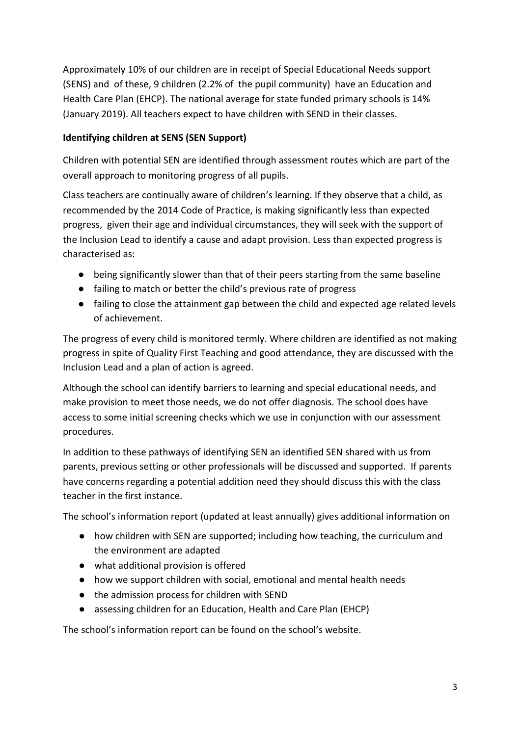Approximately 10% of our children are in receipt of Special Educational Needs support (SENS) and of these, 9 children (2.2% of the pupil community) have an Education and Health Care Plan (EHCP). The national average for state funded primary schools is 14% (January 2019). All teachers expect to have children with SEND in their classes.

# **Identifying children at SENS (SEN Support)**

Children with potential SEN are identified through assessment routes which are part of the overall approach to monitoring progress of all pupils.

Class teachers are continually aware of children's learning. If they observe that a child, as recommended by the 2014 Code of Practice, is making significantly less than expected progress, given their age and individual circumstances, they will seek with the support of the Inclusion Lead to identify a cause and adapt provision. Less than expected progress is characterised as:

- being significantly slower than that of their peers starting from the same baseline
- failing to match or better the child's previous rate of progress
- failing to close the attainment gap between the child and expected age related levels of achievement.

The progress of every child is monitored termly. Where children are identified as not making progress in spite of Quality First Teaching and good attendance, they are discussed with the Inclusion Lead and a plan of action is agreed.

Although the school can identify barriers to learning and special educational needs, and make provision to meet those needs, we do not offer diagnosis. The school does have access to some initial screening checks which we use in conjunction with our assessment procedures.

In addition to these pathways of identifying SEN an identified SEN shared with us from parents, previous setting or other professionals will be discussed and supported. If parents have concerns regarding a potential addition need they should discuss this with the class teacher in the first instance.

The school's information report (updated at least annually) gives additional information on

- how children with SEN are supported; including how teaching, the curriculum and the environment are adapted
- what additional provision is offered
- how we support children with social, emotional and mental health needs
- the admission process for children with SEND
- assessing children for an Education, Health and Care Plan (EHCP)

The school's information report can be found on the school's website.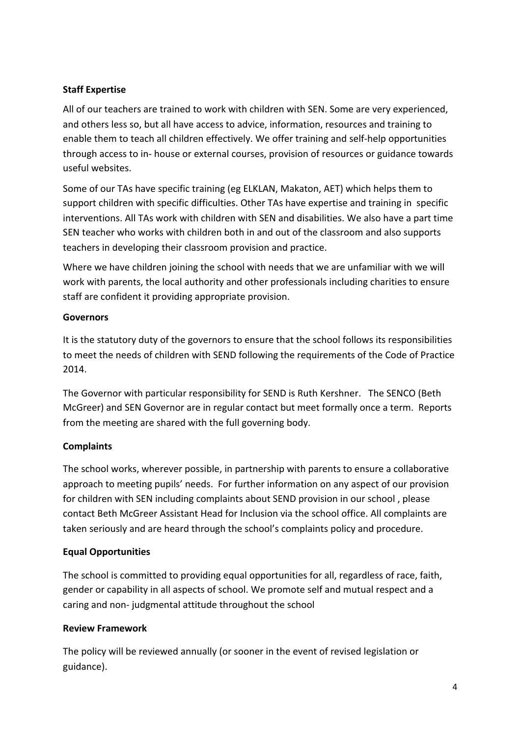### **Staff Expertise**

All of our teachers are trained to work with children with SEN. Some are very experienced, and others less so, but all have access to advice, information, resources and training to enable them to teach all children effectively. We offer training and self-help opportunities through access to in- house or external courses, provision of resources or guidance towards useful websites.

Some of our TAs have specific training (eg ELKLAN, Makaton, AET) which helps them to support children with specific difficulties. Other TAs have expertise and training in specific interventions. All TAs work with children with SEN and disabilities. We also have a part time SEN teacher who works with children both in and out of the classroom and also supports teachers in developing their classroom provision and practice.

Where we have children joining the school with needs that we are unfamiliar with we will work with parents, the local authority and other professionals including charities to ensure staff are confident it providing appropriate provision.

### **Governors**

It is the statutory duty of the governors to ensure that the school follows its responsibilities to meet the needs of children with SEND following the requirements of the Code of Practice 2014.

The Governor with particular responsibility for SEND is Ruth Kershner. The SENCO (Beth McGreer) and SEN Governor are in regular contact but meet formally once a term. Reports from the meeting are shared with the full governing body.

## **Complaints**

The school works, wherever possible, in partnership with parents to ensure a collaborative approach to meeting pupils' needs. For further information on any aspect of our provision for children with SEN including complaints about SEND provision in our school , please contact Beth McGreer Assistant Head for Inclusion via the school office. All complaints are taken seriously and are heard through the school's complaints policy and procedure.

## **Equal Opportunities**

The school is committed to providing equal opportunities for all, regardless of race, faith, gender or capability in all aspects of school. We promote self and mutual respect and a caring and non- judgmental attitude throughout the school

## **Review Framework**

The policy will be reviewed annually (or sooner in the event of revised legislation or guidance).